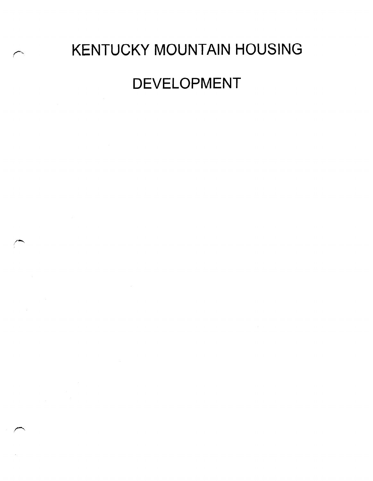# KENTUCKY MOUNTAIN HOUSING DEVELOPMENT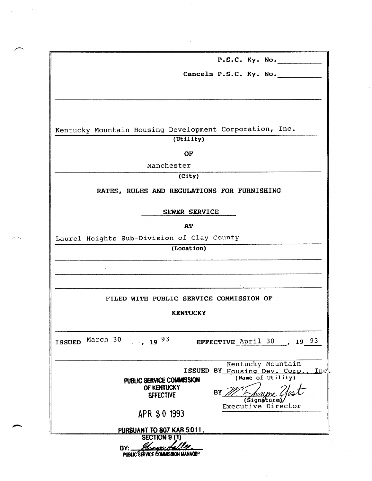|               | P.S.C. Ky. No.                                                                  |
|---------------|---------------------------------------------------------------------------------|
|               |                                                                                 |
|               | Cancels P.S.C. Ky. No.                                                          |
|               |                                                                                 |
|               |                                                                                 |
|               |                                                                                 |
|               |                                                                                 |
|               | Kentucky Mountain Housing Development Corporation, Inc.<br>(Utility)            |
|               |                                                                                 |
|               | OF                                                                              |
|               | Manchester                                                                      |
|               | (City)                                                                          |
|               | RATES, RULES AND REGULATIONS FOR FURNISHING                                     |
|               |                                                                                 |
|               | SEWER SERVICE                                                                   |
|               | <b>AT</b>                                                                       |
|               | Laurel Heights Sub-Division of Clay County                                      |
|               | (Location)                                                                      |
|               |                                                                                 |
|               |                                                                                 |
|               |                                                                                 |
|               | FILED WITH PUBLIC SERVICE COMMISSION OF                                         |
|               | <b>KENTUCKY</b>                                                                 |
|               |                                                                                 |
|               |                                                                                 |
| <b>ISSUED</b> | March 30<br>$-19^{93}$<br>EFFECTIVE April 30 , 19 93                            |
|               |                                                                                 |
|               | Kentucky Mountain<br> Inc                                                       |
|               | ISSUED BY Housing Dev. Corp.,<br>(Name of Utility)<br>PUBLIC SERVICE COMMISSION |
|               | OF KENTUCKY<br>BY                                                               |
|               | <b>EFFECTIVE</b><br><b>Signatures</b>                                           |
|               | Executive Director<br>APR 30 1993                                               |
|               |                                                                                 |
|               | PURSUANT TO 807 KAR 5:011.<br><b>SECTION 9 (1)</b>                              |
|               |                                                                                 |
|               | BY:<br>PUBLIC SERVICE COMMISSION MANAGEP                                        |

 $\sim$ 

 $\hat{\boldsymbol{\beta}}$ 

 $\mathcal{L}_{\text{max}}$  ,  $\mathcal{L}_{\text{max}}$ 

 $\sqrt{2}$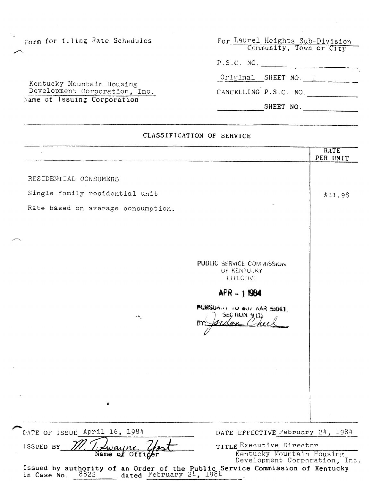|  |  |  | Form for filing Rate Schedules |  |
|--|--|--|--------------------------------|--|
|--|--|--|--------------------------------|--|

 $\leftarrow$ 

For Laurel Heights Sub-Divis Community, Town or Ci P.S.C. NO.

|  | Kentucky Mountain Housing     |  |  |  |
|--|-------------------------------|--|--|--|
|  | Development Corporation, Inc. |  |  |  |
|  | Name of Issuing Corporation   |  |  |  |

| 17. J. U. - 190.      |  |  |  |
|-----------------------|--|--|--|
| Original SHEET NO. 1  |  |  |  |
| CANCELLING P.S.C. NO. |  |  |  |

SHEET NO.

# CLASSIFICATION OF SERVICE

|                                                                                                                              |                                                              | RATE<br>PER UNIT |
|------------------------------------------------------------------------------------------------------------------------------|--------------------------------------------------------------|------------------|
|                                                                                                                              |                                                              |                  |
| RESIDENTIAL CONSUMERS                                                                                                        |                                                              |                  |
| Single family residential unit                                                                                               |                                                              | \$11.98          |
| Rate based on average consumption.                                                                                           |                                                              |                  |
|                                                                                                                              |                                                              |                  |
|                                                                                                                              |                                                              |                  |
|                                                                                                                              |                                                              |                  |
|                                                                                                                              | PUBLIC SERVICE COMMISSION<br>OF KENTUGKY<br><b>EFFECTIVE</b> |                  |
|                                                                                                                              | $APR - 1884$                                                 |                  |
| $4\pi$                                                                                                                       | PURSUANT TO OUT KAR 5:011.<br>SECTION $9(1)$<br>BY<br>A am   |                  |
|                                                                                                                              |                                                              |                  |
|                                                                                                                              |                                                              |                  |
|                                                                                                                              |                                                              |                  |
| ů                                                                                                                            |                                                              |                  |
| DATE OF ISSUE April 16, 1984                                                                                                 | DATE EFFECTIVE February 24, 1984                             |                  |
| ISSUED BY                                                                                                                    | TITLE Executive Director                                     |                  |
| jaiin<br>Name<br>of Officer                                                                                                  | Kentucky Mountain Housing<br>Development Corporation, Inc.   |                  |
| Issued by authority of an Order of the Public Service Commission of Kentucky in Case No. $8822$ dated February $24$ , $1984$ |                                                              |                  |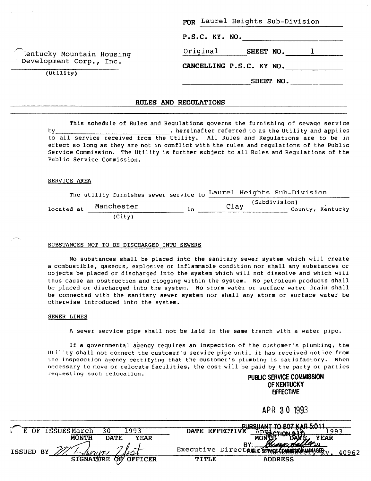|                                                      | FOR Laurel Heights Sub-Division |  |  |  |
|------------------------------------------------------|---------------------------------|--|--|--|
|                                                      | P.S.C. KY. NO.                  |  |  |  |
| Tentucky Mountain Housing<br>Development Corp., Inc. | Original<br>SHEET NO.           |  |  |  |
|                                                      | CANCELLING P.S.C. KY NO.        |  |  |  |
| (Utility)                                            | SHEET NO.                       |  |  |  |

### RULES AND REGULATIONS

This schedule of Rules and Regulations governs the furnishing of sewage service by Internative referred to as the Utility and applies  $\theta$ to all service received from the Utility. All Rules and Regulations are to be in effect so long as they are not in conflict with the rules and regulations of the Public Service Commission. The Utility is further subject to all Rules and Regulations of the Public Service Commission.

## SERVICE AREA

|            |  | The utility furnishes sewer service to |     |      | Laurel Heights Sub-Division |  |                  |
|------------|--|----------------------------------------|-----|------|-----------------------------|--|------------------|
| located at |  | Manchester                             | i n | Clay | (Subdivision)               |  | County, Kentucky |
|            |  | (City)                                 |     |      |                             |  |                  |

#### SUBSTANCES NOT TO BE DISCHARGED INTO SEWERS

No substances shall be placed into the sanitary sewer system which will create a combustible, gaseous, explosive or inflammable condition nor shall any substances or objects be placed or discharged into the system which will not dissolve and which will thus cause an obstruction and clogging within the system. No petroleum products shall be placed or discharged into the system. No storm water or surface water drain shall be connected with the sanitary sewer system nor shall any storm or surface water be otherwise introduced into the system.

#### SEWER LINES

A sewer service pipe shall not be laid in the same trench with a water pipe.

If a governmental'abency requires an inspection of the customer's plumbing, the Utility shall not connect the customer's service pipe until it has received notice from the inspecction agency certifying that the customer's plumbing is satisfactory. When necessary to move or relocate facilities, the cost will be paid by the party or parties requesting such relocation. The extension of the public SERVICE COMMISSION

# OF KENTUCKY EFFECTIVE

APR 30 1993

|                                            | DURSHANT TO ROZ KAR 5011                              |
|--------------------------------------------|-------------------------------------------------------|
| <b>ISSUESMarch</b><br>993<br>30<br>E OF    | DATE EFFECTIVE<br>$\pi$ nvil                          |
| <b>MONTH</b><br><b>DATE</b><br><b>YEAR</b> | <b>YEAR</b>                                           |
|                                            | Exactleberg<br>BY:                                    |
| ISSUED BY                                  | Executive Directann SinwerCommission Manager<br>40962 |
| OF OFFICER<br><b>SIGNATURE</b>             | TITLE<br>ADDRESS                                      |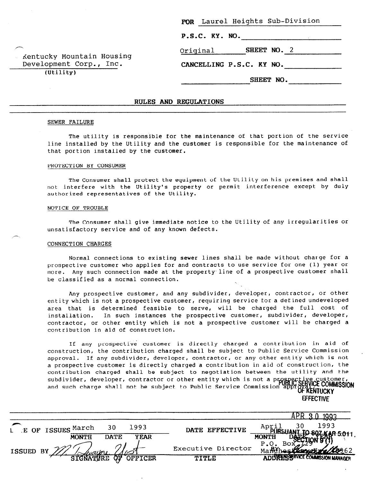| P.S.C. KY. NO.           |  |  |
|--------------------------|--|--|
|                          |  |  |
| SHEET NO. 2              |  |  |
| CANCELLING P.S.C. KY NO. |  |  |
| SHEET NO.                |  |  |
|                          |  |  |

# RULES AND REGULATIONS

#### SEWER FAILURE

-

 $\leftarrow$ 

The utility is responsible for the maintenance of that portion of the service line installed by the Utility and the customer is responsible for the maintenance of that portion installed by the customer.

### PROTECTION BY CONSUMER

The Consumer shall protect the equipment of the Utility on his premises and shall not interfere with the Utility's property or permit interference except by duly authorized representatives of the Utility.

#### NOTICE OF TROUBLE

The Consumer shall give immediate notice to the Utility of any irregularities or unsatisfactory service and of any known defects.

#### CONNECTION CHARGES

Normal connections to existing sewer lines shall be made without charge for a prospective customer who applies for and contracts to use service for one (1) year or more. Any such connection made at the property-line of a prospective customer shall be classified as a normal connection.

Any prospective customer, and any subdivider, developer, contractor, or other entity which is not a prospective customer, requiring service for a defined undeveloped area that is determined feasible to serve, will be charged the full cost of installation. In such instances the prospective customer, subdivider, developer, contractor, or other entity which is not a prospective customer will be charged a contribution in aid of construction.

If any prospective customer is directly charged a contribution in aid of construction, the contribution charged shall be subject to Public Service Commission . approval. If any subdivider, developer, contractor, or any other entity which is not a prospective customer is directly charged a contribution in aid of construction, the contribution charged shall be subject to negotiation between the utility and the subdivider, developer, contractor or other entity which is not a p  $\frac{1}{2}$  and such charge shall not be subject to Public Service Commission approximately **EFFECTIVE** 

1.

| L E OF ISSUES March | 30          | 1993        | DATE EFFECTIVE     | 1993                               |
|---------------------|-------------|-------------|--------------------|------------------------------------|
| <b>MONTH</b>        | <b>DATE</b> | <b>YEAR</b> |                    | <b>MONTH</b>                       |
| ISSUED BY           |             |             | Executive Director | P.0.<br>Bo:<br>Congrate de 26      |
|                     | ਨੌਰ         | OFFICER     | <b>TITLE</b>       | A DITION SERVICE COMMISSION MANAGE |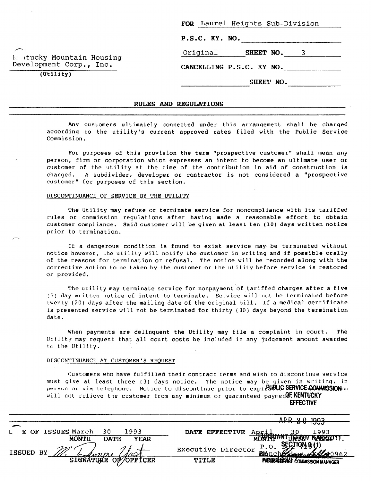| P.S.C. KY. NO. |                          |
|----------------|--------------------------|
| Original       | SHEET NO. 3              |
|                | CANCELLING P.S.C. KY NO. |

**سر** 1, .tucky Mountain Housing Development Corp., Inc.

(Utility)

-

### RULES AND REGULATIONS

Any customers ultimately connected under this arrangement shall be charged according to the utility's current approved rates filed with the Public Service Commission.

For purposes of this provision the term "prospective customer" shall mean any person, firm or corporation which expresses an intent to become an ultimate user or customer of the utility at the time of the contribution in aid of construction is charged. A subdivider, developer or contractor is not considered a "prospective customer" for purposes of this section.

#### DISCONTINUANCE OF SERVICE BY THE UTILITY

The Utility may refuse or terminate service for noncompliance with its tariffed rules or commission regulations after having made a reasonable effort to obtain customer compliance. Said customer will be given at least ten (10) days written notice prior to termination.

If a dangerous condition is found to exist service may be terminated without notice however, the utility will notify the customer in writing and if possible orally of the reasons for termination or refusal. The notice will be recorded along with the corrective action to be taken by the customer or the utility before service is restored or provided.

The utility may terminate service for nonpayment of tariffed charges after a five (5) day written notice of intent to terminate. Service will not be terminated before twenty (20) days after the mailing date of the original bill. If a medical certificate is presented service will not be terminated for thirty (30) days beyond the termination date.

When payments are delinquent the Utility may file a complaint in court. The Utility may request that all court costs be included in any judgement amount awarded to the Utility.

# DI SCONTINUANCE AT CUSTOMER'S REQUEST

Customers who have fulfilled their contract terms and wish to discontinue service must give at least three (3) days notice. The notice may be given in writing, in person or via telephone. Notice to discontinue prior to expirations strates communissions in will not relieve the customer from any minimum or guaranteed paymen OF. KENTUCKY EFFECTIVE

|                                      |                    | 1002                                 |
|--------------------------------------|--------------------|--------------------------------------|
|                                      |                    | 1333<br>. v                          |
| E OF ISSUES March<br>1993<br>30.     | DATE EFFECTIVE     | 1993<br>April                        |
| <b>MONTH</b><br>DATE.<br><b>YEAR</b> |                    | MONTEUANT JAROT KATADOTT.            |
| ISSUED BY<br>'unumi                  | Executive Director | P.0.<br>Manchester Axter0962         |
| OF/OFFICER<br>SIGNATURE              | <b>TITLE</b>       | <b>ABLES BASE COMMISSION MANAGER</b> |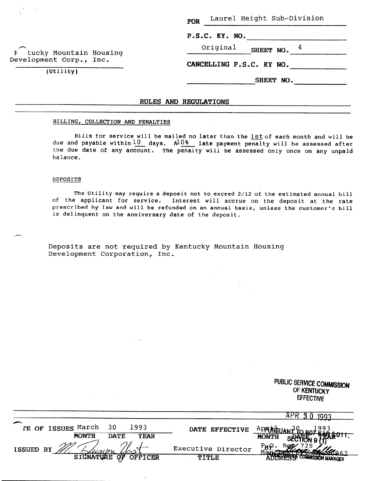FOR Laurel Height Sub-Division

|  |  |  | P.S.C. KY. NO. |  |
|--|--|--|----------------|--|
|  |  |  |                |  |

h E tucky Mountain Housing Development Corp., Inc.

(Utility)

#### Original SHEET NO.  $4$

CANCELLING P.S.C. KY NO.

SHEET NO.

PUBLIC SERVICE COMMISSION OF KENTUCKY

# RULES AND REGULATIONS

# BILLING, COLLECTION AND PENALTIES

Bills for service will be mailed no later than the lst of each month and will be due and payable within $\pm0$  days. A $10\%$  late payment penalty will be assessed aft $\epsilon$ the due date of any account. The penalty will be assessed only once on any unpai balance.

## DEPOSITS

The Utility may require a deposit not to exceed 2/12 of the estimated annual bill of the applicant for service. Interest will accrue on the deposit at the rate prescribed by law and will be refunded on an annual basis, unless the customer's bill is delinquent on the anniversary date of the deposit.

Deposits are not required by Kentucky Mountain Housing Development Corporation, Inc.

|                                                                                                            |                                    | <b>EFFECTIVE</b>                                         |
|------------------------------------------------------------------------------------------------------------|------------------------------------|----------------------------------------------------------|
|                                                                                                            |                                    | $AP-$<br>:qq                                             |
| $\overline{\phantom{0}}$<br>1993<br>IE OF ISSUES March<br>30<br><b>MONTH</b><br><b>DATE</b><br><b>YEAR</b> | DATE EFFECTIVE                     | ᡔᠣᠦ<br>Apolineus<br><b>MONTH</b>                         |
| ISSUED BY<br>SIGNATURE<br><b>OFFICER</b><br>$\overline{Q}$                                                 | Executive Director<br><b>TITLE</b> | $P_B Q$ .<br>26062<br><b>AT TO BE COMMISSION MANAGER</b> |